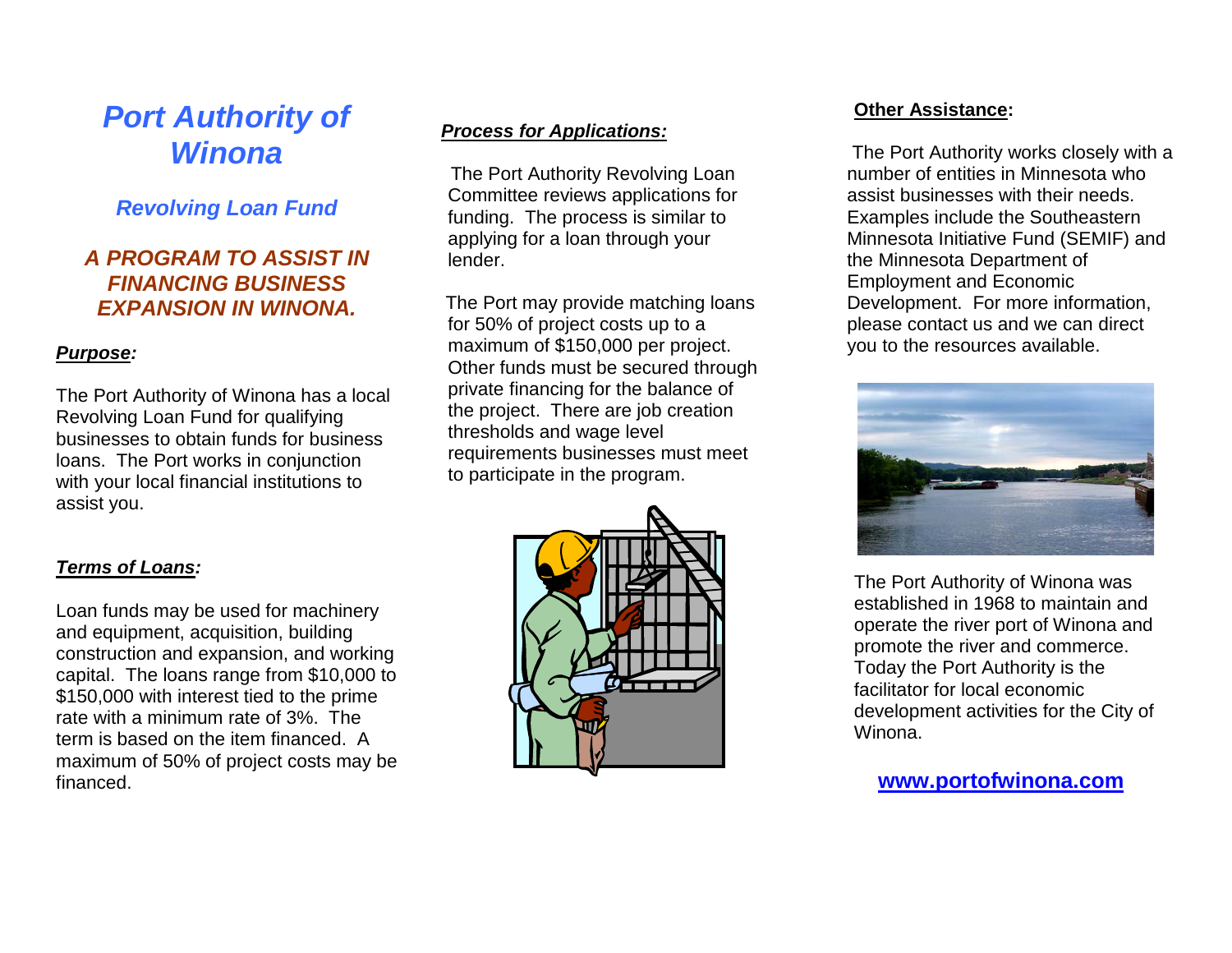# *Port Authority of Winona*

# *Revolving Loan Fund*

## *A PROGRAM TO ASSIST IN FINANCING BUSINESS EXPANSION IN WINONA.*

#### *Purpose:*

The Port Authority of Winona has a local Revolving Loan Fund for qualifying businesses to obtain funds for business loans. The Port works in conjunction with your local financial institutions to assist you.

#### *Process for Applications:*

The Port Authority Revolving Loan Committee reviews applications for funding. The process is similar to applying for a loan through your lender.

 The Port may provide matching loans for 50% of project costs up to a maximum of \$150,000 per project. Other funds must be secured through private financing for the balance of the project. There are job creation thresholds and wage level requirements businesses must meet to participate in the program.

# *Terms of Loans:*

Loan funds may be used for machinery and equipment, acquisition, building construction and expansion, and working capital. The loans range from \$10,000 to \$150,000 with interest tied to the prime rate with a minimum rate of 3%. The term is based on the item financed. A maximum of 50% of project costs may be financed.



#### **Other Assistance:**

The Port Authority works closely with a number of entities in Minnesota who assist businesses with their needs. Examples include the Southeastern Minnesota Initiative Fund (SEMIF) and the Minnesota Department of Employment and Economic Development. For more information, please contact us and we can direct you to the resources available.



The Port Authority of Winona was established in 1968 to maintain and operate the river port of Winona and promote the river and commerce. Today the Port Authority is the facilitator for local economic development activities for the City of Winona.

### **www.portofwinona.com**